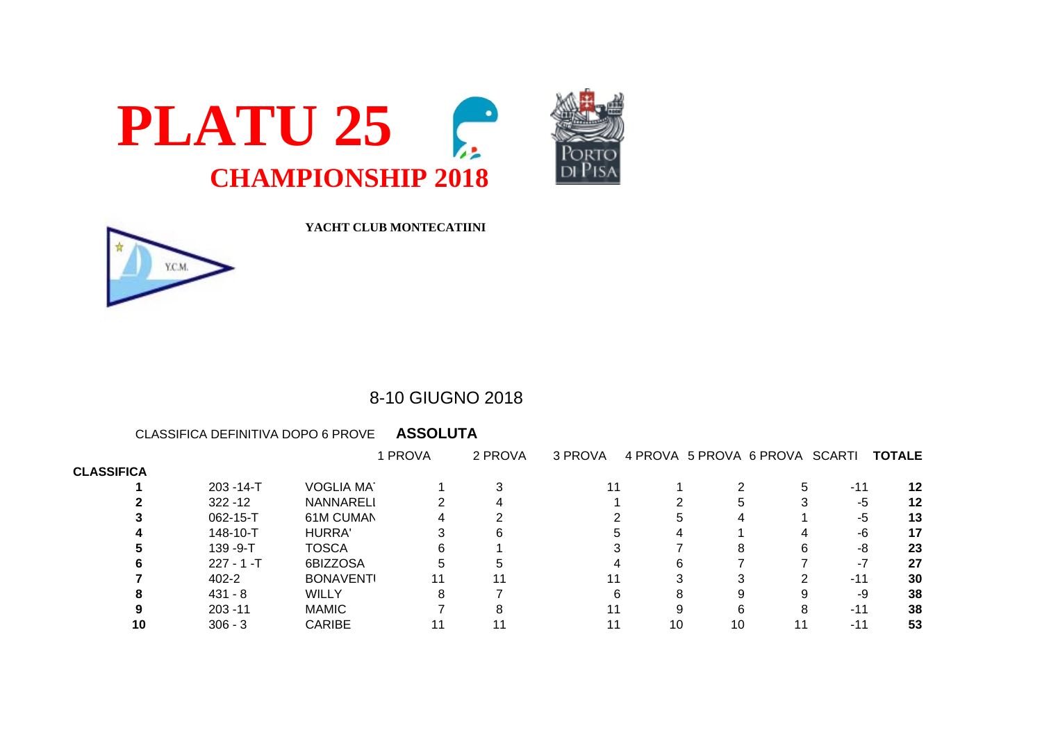



| Y.C.N |  |
|-------|--|
|       |  |

**YACHT CLUB MONTECATIINI**

## 8-10 GIUGNO 2018

CLASSIFICA DEFINITIVA DOPO 6 PROVE **ASSOLUTA**

|                   |                |                  | I PROVA | 2 PROVA | 3 PROVA |    | 4 PROVA 5 PROVA 6 PROVA SCARTI |       | <b>TOTALE</b> |
|-------------------|----------------|------------------|---------|---------|---------|----|--------------------------------|-------|---------------|
| <b>CLASSIFICA</b> |                |                  |         |         |         |    |                                |       |               |
|                   | $203 - 14 - T$ | <b>VOGLIA MA</b> |         |         |         |    |                                | $-11$ | 12            |
|                   | $322 - 12$     | <b>NANNARELI</b> |         |         |         |    |                                | -5    | 12            |
|                   | $062 - 15 - T$ | 61M CUMAN        |         |         |         |    |                                | -5    | 13            |
|                   | 148-10-T       | <b>HURRA'</b>    |         |         |         |    |                                | -6    | 17            |
|                   | $139 - 9 - T$  | <b>TOSCA</b>     |         |         |         |    |                                | -8    | 23            |
|                   | $227 - 1 - T$  | 6BIZZOSA         | h       |         |         |    |                                | - 1   | 27            |
|                   | 402-2          | <b>BONAVENTI</b> | 11      |         |         |    |                                | $-11$ | 30            |
|                   | 431 - 8        | <b>WILLY</b>     |         |         |         |    |                                | -9    | 38            |
|                   | $203 - 11$     | <b>MAMIC</b>     |         |         |         |    |                                | $-11$ | 38            |
| 10                | $306 - 3$      | <b>CARIBE</b>    |         |         |         | 10 | 10                             | $-14$ | 53            |